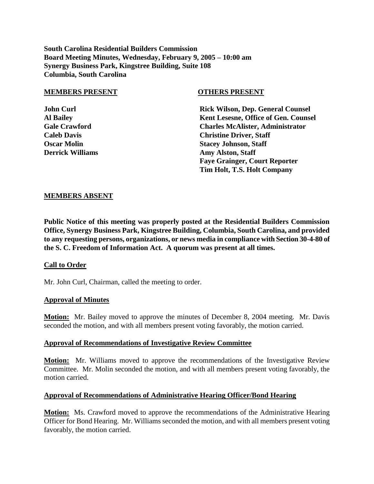**South Carolina Residential Builders Commission Board Meeting Minutes, Wednesday, February 9, 2005 – 10:00 am Synergy Business Park, Kingstree Building, Suite 108 Columbia, South Carolina**

#### **MEMBERS PRESENT OTHERS PRESENT**

**John Curl Rick Wilson, Dep. General Counsel Al Bailey Kent Lesesne, Office of Gen. Counsel Gale Crawford Charles McAlister, Administrator Caleb Davis Christine Driver, Staff Oscar Molin Stacey Johnson, Staff Derrick Williams Amy Alston, Staff Faye Grainger, Court Reporter Tim Holt, T.S. Holt Company**

#### **MEMBERS ABSENT**

**Public Notice of this meeting was properly posted at the Residential Builders Commission Office, Synergy Business Park, Kingstree Building, Columbia, South Carolina, and provided to any requesting persons, organizations, or news media in compliance with Section 30-4-80 of the S. C. Freedom of Information Act. A quorum was present at all times.**

#### **Call to Order**

Mr. John Curl, Chairman, called the meeting to order.

#### **Approval of Minutes**

**Motion:** Mr. Bailey moved to approve the minutes of December 8, 2004 meeting. Mr. Davis seconded the motion, and with all members present voting favorably, the motion carried.

#### **Approval of Recommendations of Investigative Review Committee**

**Motion:** Mr. Williams moved to approve the recommendations of the Investigative Review Committee. Mr. Molin seconded the motion, and with all members present voting favorably, the motion carried.

#### **Approval of Recommendations of Administrative Hearing Officer/Bond Hearing**

**Motion:** Ms. Crawford moved to approve the recommendations of the Administrative Hearing Officer for Bond Hearing. Mr. Williams seconded the motion, and with all members present voting favorably, the motion carried.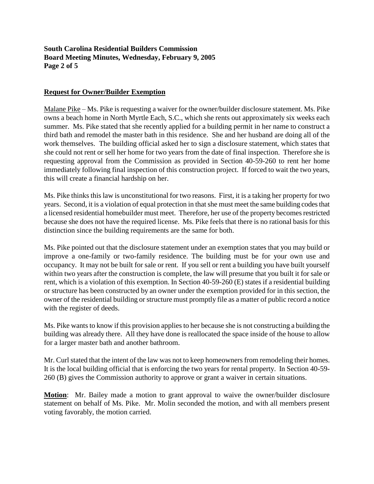## **South Carolina Residential Builders Commission Board Meeting Minutes, Wednesday, February 9, 2005 Page 2 of 5**

## **Request for Owner/Builder Exemption**

Malane Pike – Ms. Pike is requesting a waiver for the owner/builder disclosure statement. Ms. Pike owns a beach home in North Myrtle Each, S.C., which she rents out approximately six weeks each summer. Ms. Pike stated that she recently applied for a building permit in her name to construct a third bath and remodel the master bath in this residence. She and her husband are doing all of the work themselves. The building official asked her to sign a disclosure statement, which states that she could not rent or sell her home for two years from the date of final inspection. Therefore she is requesting approval from the Commission as provided in Section 40-59-260 to rent her home immediately following final inspection of this construction project. If forced to wait the two years, this will create a financial hardship on her.

Ms. Pike thinks this law is unconstitutional for two reasons. First, it is a taking her property for two years. Second, it is a violation of equal protection in that she must meet the same building codes that a licensed residential homebuilder must meet. Therefore, her use of the property becomes restricted because she does not have the required license. Ms. Pike feels that there is no rational basis for this distinction since the building requirements are the same for both.

Ms. Pike pointed out that the disclosure statement under an exemption states that you may build or improve a one-family or two-family residence. The building must be for your own use and occupancy. It may not be built for sale or rent. If you sell or rent a building you have built yourself within two years after the construction is complete, the law will presume that you built it for sale or rent, which is a violation of this exemption. In Section 40-59-260 (E) states if a residential building or structure has been constructed by an owner under the exemption provided for in this section, the owner of the residential building or structure must promptly file as a matter of public record a notice with the register of deeds.

Ms. Pike wants to know if this provision applies to her because she is not constructing a building the building was already there. All they have done is reallocated the space inside of the house to allow for a larger master bath and another bathroom.

Mr. Curl stated that the intent of the law was not to keep homeowners from remodeling their homes. It is the local building official that is enforcing the two years for rental property. In Section 40-59- 260 (B) gives the Commission authority to approve or grant a waiver in certain situations.

**Motion**: Mr. Bailey made a motion to grant approval to waive the owner/builder disclosure statement on behalf of Ms. Pike. Mr. Molin seconded the motion, and with all members present voting favorably, the motion carried.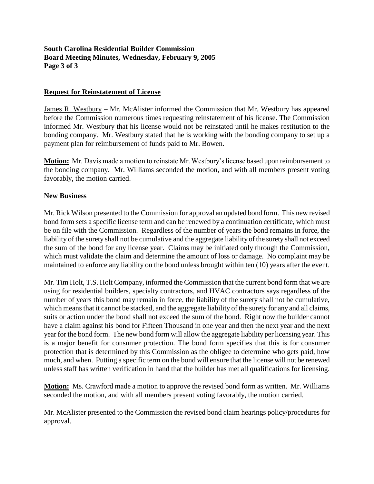## **South Carolina Residential Builder Commission Board Meeting Minutes, Wednesday, February 9, 2005 Page 3 of 3**

### **Request for Reinstatement of License**

James R. Westbury – Mr. McAlister informed the Commission that Mr. Westbury has appeared before the Commission numerous times requesting reinstatement of his license. The Commission informed Mr. Westbury that his license would not be reinstated until he makes restitution to the bonding company. Mr. Westbury stated that he is working with the bonding company to set up a payment plan for reimbursement of funds paid to Mr. Bowen.

**Motion:** Mr. Davis made a motion to reinstate Mr. Westbury's license based upon reimbursement to the bonding company. Mr. Williams seconded the motion, and with all members present voting favorably, the motion carried.

### **New Business**

Mr. Rick Wilson presented to the Commission for approval an updated bond form. This new revised bond form sets a specific license term and can be renewed by a continuation certificate, which must be on file with the Commission. Regardless of the number of years the bond remains in force, the liability of the surety shall not be cumulative and the aggregate liability of the surety shall not exceed the sum of the bond for any license year. Claims may be initiated only through the Commission, which must validate the claim and determine the amount of loss or damage. No complaint may be maintained to enforce any liability on the bond unless brought within ten (10) years after the event.

Mr. Tim Holt, T.S. Holt Company, informed the Commission that the current bond form that we are using for residential builders, specialty contractors, and HVAC contractors says regardless of the number of years this bond may remain in force, the liability of the surety shall not be cumulative, which means that it cannot be stacked, and the aggregate liability of the surety for any and all claims, suits or action under the bond shall not exceed the sum of the bond. Right now the builder cannot have a claim against his bond for Fifteen Thousand in one year and then the next year and the next year for the bond form. The new bond form will allow the aggregate liability per licensing year. This is a major benefit for consumer protection. The bond form specifies that this is for consumer protection that is determined by this Commission as the obligee to determine who gets paid, how much, and when. Putting a specific term on the bond will ensure that the license will not be renewed unless staff has written verification in hand that the builder has met all qualifications for licensing.

**Motion:** Ms. Crawford made a motion to approve the revised bond form as written. Mr. Williams seconded the motion, and with all members present voting favorably, the motion carried.

Mr. McAlister presented to the Commission the revised bond claim hearings policy/procedures for approval.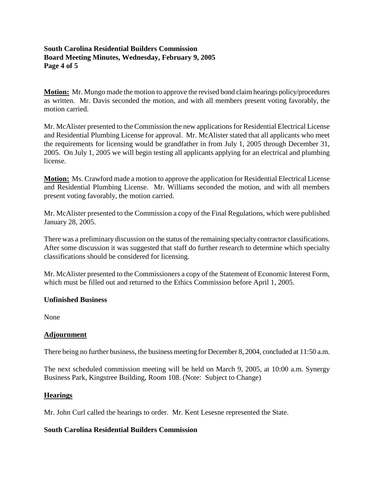## **South Carolina Residential Builders Commission Board Meeting Minutes, Wednesday, February 9, 2005 Page 4 of 5**

**Motion:** Mr. Mungo made the motion to approve the revised bond claim hearings policy/procedures as written. Mr. Davis seconded the motion, and with all members present voting favorably, the motion carried.

Mr. McAlister presented to the Commission the new applications for Residential Electrical License and Residential Plumbing License for approval. Mr. McAlister stated that all applicants who meet the requirements for licensing would be grandfather in from July 1, 2005 through December 31, 2005. On July 1, 2005 we will begin testing all applicants applying for an electrical and plumbing license.

**Motion:** Ms. Crawford made a motion to approve the application for Residential Electrical License and Residential Plumbing License. Mr. Williams seconded the motion, and with all members present voting favorably, the motion carried.

Mr. McAlister presented to the Commission a copy of the Final Regulations, which were published January 28, 2005.

There was a preliminary discussion on the status of the remaining specialty contractor classifications. After some discussion it was suggested that staff do further research to determine which specialty classifications should be considered for licensing.

Mr. McAlister presented to the Commissioners a copy of the Statement of Economic Interest Form, which must be filled out and returned to the Ethics Commission before April 1, 2005.

## **Unfinished Business**

None

## **Adjournment**

There being no further business, the business meeting for December 8, 2004, concluded at 11:50 a.m.

The next scheduled commission meeting will be held on March 9, 2005, at 10:00 a.m. Synergy Business Park, Kingstree Building, Room 108. (Note: Subject to Change)

#### **Hearings**

Mr. John Curl called the hearings to order. Mr. Kent Lesesne represented the State.

## **South Carolina Residential Builders Commission**